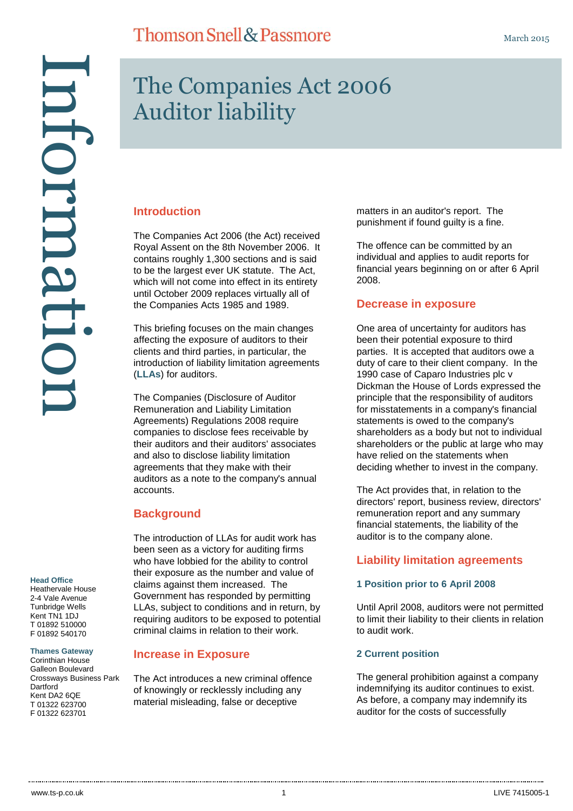Information naformati

#### **Head Office**

Heathervale House 2-4 Vale Avenue Tunbridge Wells Kent TN1 1DJ T 01892 510000 F 01892 540170

#### **Thames Gateway**

Corinthian House Galleon Boulevard Crossways Business Park **Dartford** Kent DA2 6QE T 01322 623700 F 01322 623701

# The Companies Act 2006 Auditor liability

### **Introduction**

The Companies Act 2006 (the Act) received Royal Assent on the 8th November 2006. It contains roughly 1,300 sections and is said to be the largest ever UK statute. The Act, which will not come into effect in its entirety until October 2009 replaces virtually all of the Companies Acts 1985 and 1989.

This briefing focuses on the main changes affecting the exposure of auditors to their clients and third parties, in particular, the introduction of liability limitation agreements (**LLAs**) for auditors.

The Companies (Disclosure of Auditor Remuneration and Liability Limitation Agreements) Regulations 2008 require companies to disclose fees receivable by their auditors and their auditors' associates and also to disclose liability limitation agreements that they make with their auditors as a note to the company's annual accounts.

### **Background**

The introduction of LLAs for audit work has been seen as a victory for auditing firms who have lobbied for the ability to control their exposure as the number and value of claims against them increased. The Government has responded by permitting LLAs, subject to conditions and in return, by requiring auditors to be exposed to potential criminal claims in relation to their work.

### **Increase in Exposure**

The Act introduces a new criminal offence of knowingly or recklessly including any material misleading, false or deceptive

matters in an auditor's report. The punishment if found guilty is a fine.

The offence can be committed by an individual and applies to audit reports for financial years beginning on or after 6 April 2008.

### **Decrease in exposure**

One area of uncertainty for auditors has been their potential exposure to third parties. It is accepted that auditors owe a duty of care to their client company. In the 1990 case of Caparo Industries plc v Dickman the House of Lords expressed the principle that the responsibility of auditors for misstatements in a company's financial statements is owed to the company's shareholders as a body but not to individual shareholders or the public at large who may have relied on the statements when deciding whether to invest in the company.

The Act provides that, in relation to the directors' report, business review, directors' remuneration report and any summary financial statements, the liability of the auditor is to the company alone.

### **Liability limitation agreements**

#### **1 Position prior to 6 April 2008**

Until April 2008, auditors were not permitted to limit their liability to their clients in relation to audit work.

#### **2 Current position**

The general prohibition against a company indemnifying its auditor continues to exist. As before, a company may indemnify its auditor for the costs of successfully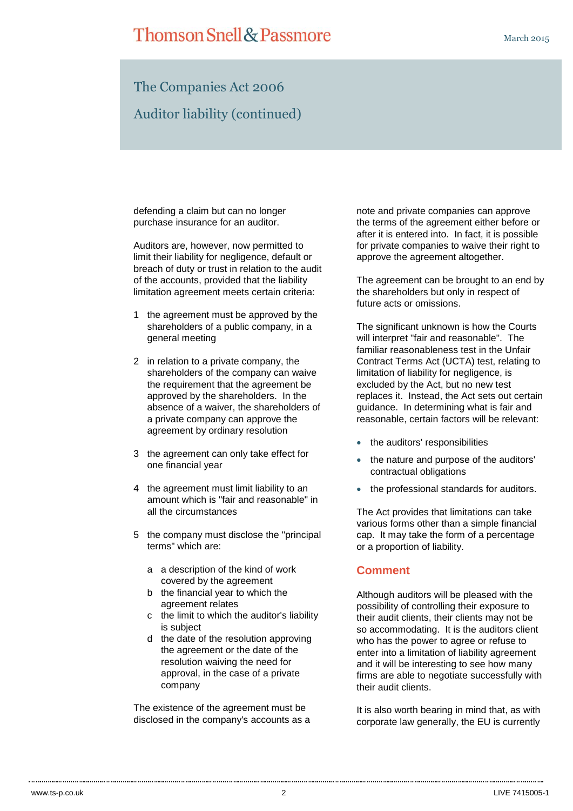## **Thomson Snell & Passmore**

### The Companies Act 2006 Auditor liability (continued)

defending a claim but can no longer purchase insurance for an auditor.

Auditors are, however, now permitted to limit their liability for negligence, default or breach of duty or trust in relation to the audit of the accounts, provided that the liability limitation agreement meets certain criteria:

- 1 the agreement must be approved by the shareholders of a public company, in a general meeting
- 2 in relation to a private company, the shareholders of the company can waive the requirement that the agreement be approved by the shareholders. In the absence of a waiver, the shareholders of a private company can approve the agreement by ordinary resolution
- 3 the agreement can only take effect for one financial year
- 4 the agreement must limit liability to an amount which is "fair and reasonable" in all the circumstances
- 5 the company must disclose the "principal terms" which are:
	- a a description of the kind of work covered by the agreement
	- b the financial year to which the agreement relates
	- c the limit to which the auditor's liability is subject
	- d the date of the resolution approving the agreement or the date of the resolution waiving the need for approval, in the case of a private company

The existence of the agreement must be disclosed in the company's accounts as a note and private companies can approve the terms of the agreement either before or after it is entered into. In fact, it is possible for private companies to waive their right to approve the agreement altogether.

The agreement can be brought to an end by the shareholders but only in respect of future acts or omissions.

The significant unknown is how the Courts will interpret "fair and reasonable". The familiar reasonableness test in the Unfair Contract Terms Act (UCTA) test, relating to limitation of liability for negligence, is excluded by the Act, but no new test replaces it. Instead, the Act sets out certain guidance. In determining what is fair and reasonable, certain factors will be relevant:

- the auditors' responsibilities
- the nature and purpose of the auditors' contractual obligations
- the professional standards for auditors.

The Act provides that limitations can take various forms other than a simple financial cap. It may take the form of a percentage or a proportion of liability.

### **Comment**

Although auditors will be pleased with the possibility of controlling their exposure to their audit clients, their clients may not be so accommodating. It is the auditors client who has the power to agree or refuse to enter into a limitation of liability agreement and it will be interesting to see how many firms are able to negotiate successfully with their audit clients.

It is also worth bearing in mind that, as with corporate law generally, the EU is currently